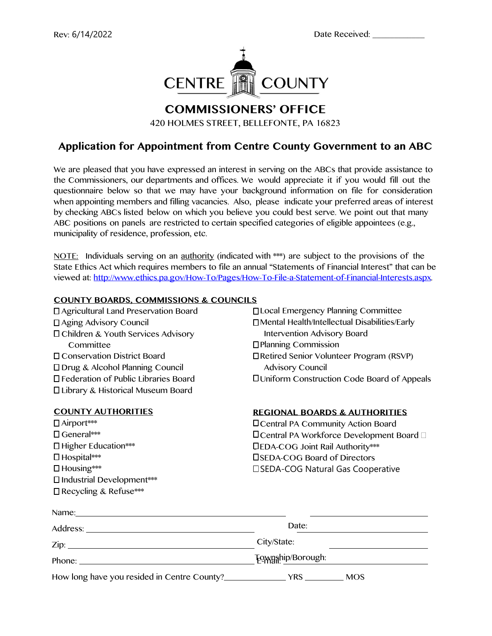

# **COMMISSIONERS' OFFICE**

420 HOLMES STREET, BELLEFONTE, PA 16823

## **Application for Appointment from Centre County Government to an ABC**

We are pleased that you have expressed an interest in serving on the ABCs that provide assistance to the Commissioners, our departments and offices. We would appreciate it if you would fill out the questionnaire below so that we may have your background information on file for consideration when appointing members and filling vacancies. Also, please indicate your preferred areas of interest by checking ABCs listed below on which you believe you could best serve. We point out that many ABC positions on panels are restricted to certain specified categories of eligible appointees (e.g., municipality of residence, profession, etc.

NOTE: Individuals serving on an authority (indicated with \*\*\*) are subject to the provisions of the State Ethics Act which requires members to file an annual "Statements of Financial Interest" that can be viewed at: [http://www.ethics.pa.gov/How-To/Pages/How-To-File-a-Statement-of-Financial-Interests.aspx.](http://www.ethics.pa.gov/How-To/Pages/How-To-File-a-Statement-of-Financial-Interests.aspx) 

### **COUNTY BOARDS, COMMISSIONS & COUNCILS**

 Agricultural Land Preservation Board Aging Advisory Council Children & Youth Services Advisory **Committee**  Conservation District Board Drug & Alcohol Planning Council Federation of Public Libraries Board Library & Historical Museum Board

### **COUNTY AUTHORITIES**

 Airport\*\*\* General\*\*\* Higher Education\*\*\* Hospital\*\*\* Housing\*\*\* Industrial Development\*\*\* Recycling & Refuse\*\*\*

 Local Emergency Planning Committee Mental Health/Intellectual Disabilities/Early Intervention Advisory Board Planning Commission Retired Senior Volunteer Program (RSVP) Advisory Council Uniform Construction Code Board of Appeals

### **REGIONAL BOARDS & AUTHORITIES**

 Central PA Community Action Board □ Central PA Workforce Development Board □ S EDA-COG Joint Rail Authority\*\*\* SEDA-COG Board of Directors □ SEDA-COG Natural Gas Cooperative

| Name: Name:                        |                          |
|------------------------------------|--------------------------|
|                                    | Date:                    |
|                                    | City/State:              |
| Phone: $\overline{\qquad \qquad }$ | <b>Township/Borough:</b> |
|                                    | <b>MOS</b>               |